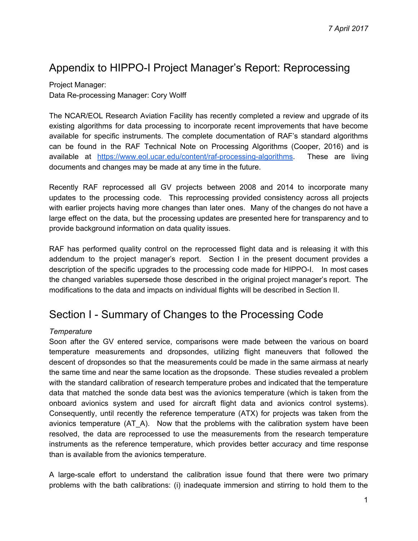# Appendix to HIPPO-I Project Manager's Report: Reprocessing

Project Manager: Data Re-processing Manager: Cory Wolff

The NCAR/EOL Research Aviation Facility has recently completed a review and upgrade of its existing algorithms for data processing to incorporate recent improvements that have become available for specific instruments. The complete documentation of RAF's standard algorithms can be found in the RAF Technical Note on Processing Algorithms (Cooper, 2016) and is available at [https://www.eol.ucar.edu/content/raf-processing-algorithms.](https://www.eol.ucar.edu/content/raf-processing-algorithms) These are living documents and changes may be made at any time in the future.

Recently RAF reprocessed all GV projects between 2008 and 2014 to incorporate many updates to the processing code. This reprocessing provided consistency across all projects with earlier projects having more changes than later ones. Many of the changes do not have a large effect on the data, but the processing updates are presented here for transparency and to provide background information on data quality issues.

RAF has performed quality control on the reprocessed flight data and is releasing it with this addendum to the project manager's report. Section I in the present document provides a description of the specific upgrades to the processing code made for HIPPO-I. In most cases the changed variables supersede those described in the original project manager's report. The modifications to the data and impacts on individual flights will be described in Section II.

# Section I - Summary of Changes to the Processing Code

# *Temperature*

Soon after the GV entered service, comparisons were made between the various on board temperature measurements and dropsondes, utilizing flight maneuvers that followed the descent of dropsondes so that the measurements could be made in the same airmass at nearly the same time and near the same location as the dropsonde. These studies revealed a problem with the standard calibration of research temperature probes and indicated that the temperature data that matched the sonde data best was the avionics temperature (which is taken from the onboard avionics system and used for aircraft flight data and avionics control systems). Consequently, until recently the reference temperature (ATX) for projects was taken from the avionics temperature (AT\_A). Now that the problems with the calibration system have been resolved, the data are reprocessed to use the measurements from the research temperature instruments as the reference temperature, which provides better accuracy and time response than is available from the avionics temperature.

A large-scale effort to understand the calibration issue found that there were two primary problems with the bath calibrations: (i) inadequate immersion and stirring to hold them to the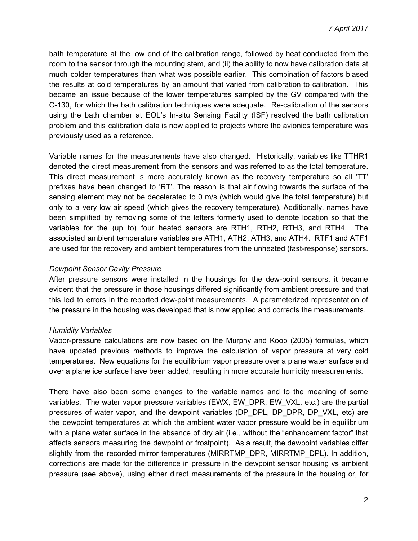bath temperature at the low end of the calibration range, followed by heat conducted from the room to the sensor through the mounting stem, and (ii) the ability to now have calibration data at much colder temperatures than what was possible earlier. This combination of factors biased the results at cold temperatures by an amount that varied from calibration to calibration. This became an issue because of the lower temperatures sampled by the GV compared with the C-130, for which the bath calibration techniques were adequate. Re-calibration of the sensors using the bath chamber at EOL's In-situ Sensing Facility (ISF) resolved the bath calibration problem and this calibration data is now applied to projects where the avionics temperature was previously used as a reference.

Variable names for the measurements have also changed. Historically, variables like TTHR1 denoted the direct measurement from the sensors and was referred to as the total temperature. This direct measurement is more accurately known as the recovery temperature so all 'TT' prefixes have been changed to 'RT'. The reason is that air flowing towards the surface of the sensing element may not be decelerated to 0 m/s (which would give the total temperature) but only to a very low air speed (which gives the recovery temperature). Additionally, names have been simplified by removing some of the letters formerly used to denote location so that the variables for the (up to) four heated sensors are RTH1, RTH2, RTH3, and RTH4. The associated ambient temperature variables are ATH1, ATH2, ATH3, and ATH4. RTF1 and ATF1 are used for the recovery and ambient temperatures from the unheated (fast-response) sensors.

#### *Dewpoint Sensor Cavity Pressure*

After pressure sensors were installed in the housings for the dew-point sensors, it became evident that the pressure in those housings differed significantly from ambient pressure and that this led to errors in the reported dew-point measurements. A parameterized representation of the pressure in the housing was developed that is now applied and corrects the measurements.

# *Humidity Variables*

Vapor-pressure calculations are now based on the Murphy and Koop (2005) formulas, which have updated previous methods to improve the calculation of vapor pressure at very cold temperatures. New equations for the equilibrium vapor pressure over a plane water surface and over a plane ice surface have been added, resulting in more accurate humidity measurements.

There have also been some changes to the variable names and to the meaning of some variables. The water vapor pressure variables (EWX, EW\_DPR, EW\_VXL, etc.) are the partial pressures of water vapor, and the dewpoint variables (DP\_DPL, DP\_DPR, DP\_VXL, etc) are the dewpoint temperatures at which the ambient water vapor pressure would be in equilibrium with a plane water surface in the absence of dry air (i.e., without the "enhancement factor" that affects sensors measuring the dewpoint or frostpoint). As a result, the dewpoint variables differ slightly from the recorded mirror temperatures (MIRRTMP\_DPR, MIRRTMP\_DPL). In addition, corrections are made for the difference in pressure in the dewpoint sensor housing vs ambient pressure (see above), using either direct measurements of the pressure in the housing or, for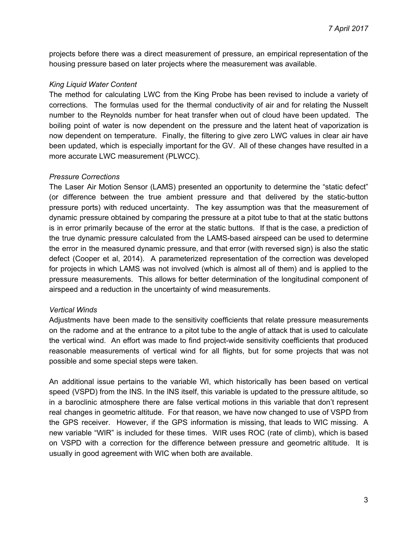projects before there was a direct measurement of pressure, an empirical representation of the housing pressure based on later projects where the measurement was available.

# *King Liquid Water Content*

The method for calculating LWC from the King Probe has been revised to include a variety of corrections. The formulas used for the thermal conductivity of air and for relating the Nusselt number to the Reynolds number for heat transfer when out of cloud have been updated. The boiling point of water is now dependent on the pressure and the latent heat of vaporization is now dependent on temperature. Finally, the filtering to give zero LWC values in clear air have been updated, which is especially important for the GV. All of these changes have resulted in a more accurate LWC measurement (PLWCC).

#### *Pressure Corrections*

The Laser Air Motion Sensor (LAMS) presented an opportunity to determine the "static defect" (or difference between the true ambient pressure and that delivered by the static-button pressure ports) with reduced uncertainty. The key assumption was that the measurement of dynamic pressure obtained by comparing the pressure at a pitot tube to that at the static buttons is in error primarily because of the error at the static buttons. If that is the case, a prediction of the true dynamic pressure calculated from the LAMS-based airspeed can be used to determine the error in the measured dynamic pressure, and that error (with reversed sign) is also the static defect (Cooper et al, 2014). A parameterized representation of the correction was developed for projects in which LAMS was not involved (which is almost all of them) and is applied to the pressure measurements. This allows for better determination of the longitudinal component of airspeed and a reduction in the uncertainty of wind measurements.

#### *Vertical Winds*

Adjustments have been made to the sensitivity coefficients that relate pressure measurements on the radome and at the entrance to a pitot tube to the angle of attack that is used to calculate the vertical wind. An effort was made to find project-wide sensitivity coefficients that produced reasonable measurements of vertical wind for all flights, but for some projects that was not possible and some special steps were taken.

An additional issue pertains to the variable WI, which historically has been based on vertical speed (VSPD) from the INS. In the INS itself, this variable is updated to the pressure altitude, so in a baroclinic atmosphere there are false vertical motions in this variable that don't represent real changes in geometric altitude. For that reason, we have now changed to use of VSPD from the GPS receiver. However, if the GPS information is missing, that leads to WIC missing. A new variable "WIR" is included for these times. WIR uses ROC (rate of climb), which is based on VSPD with a correction for the difference between pressure and geometric altitude. It is usually in good agreement with WIC when both are available.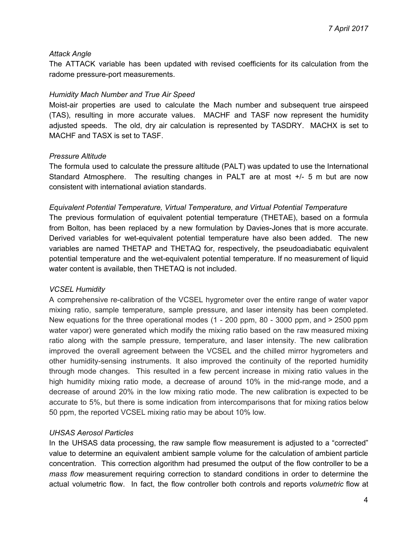#### *Attack Angle*

The ATTACK variable has been updated with revised coefficients for its calculation from the radome pressure-port measurements.

#### *Humidity Mach Number and True Air Speed*

Moist-air properties are used to calculate the Mach number and subsequent true airspeed (TAS), resulting in more accurate values. MACHF and TASF now represent the humidity adjusted speeds. The old, dry air calculation is represented by TASDRY. MACHX is set to MACHF and TASX is set to TASF.

#### *Pressure Altitude*

The formula used to calculate the pressure altitude (PALT) was updated to use the International Standard Atmosphere. The resulting changes in PALT are at most +/- 5 m but are now consistent with international aviation standards.

#### *Equivalent Potential Temperature, Virtual Temperature, and Virtual Potential Temperature*

The previous formulation of equivalent potential temperature (THETAE), based on a formula from Bolton, has been replaced by a new formulation by Davies-Jones that is more accurate. Derived variables for wet-equivalent potential temperature have also been added. The new variables are named THETAP and THETAQ for, respectively, the pseudoadiabatic equivalent potential temperature and the wet-equivalent potential temperature. If no measurement of liquid water content is available, then THETAQ is not included.

#### *VCSEL Humidity*

A comprehensive re-calibration of the VCSEL hygrometer over the entire range of water vapor mixing ratio, sample temperature, sample pressure, and laser intensity has been completed. New equations for the three operational modes (1 - 200 ppm, 80 - 3000 ppm, and > 2500 ppm water vapor) were generated which modify the mixing ratio based on the raw measured mixing ratio along with the sample pressure, temperature, and laser intensity. The new calibration improved the overall agreement between the VCSEL and the chilled mirror hygrometers and other humidity-sensing instruments. It also improved the continuity of the reported humidity through mode changes. This resulted in a few percent increase in mixing ratio values in the high humidity mixing ratio mode, a decrease of around 10% in the mid-range mode, and a decrease of around 20% in the low mixing ratio mode. The new calibration is expected to be accurate to 5%, but there is some indication from intercomparisons that for mixing ratios below 50 ppm, the reported VCSEL mixing ratio may be about 10% low.

#### *UHSAS Aerosol Particles*

In the UHSAS data processing, the raw sample flow measurement is adjusted to a "corrected" value to determine an equivalent ambient sample volume for the calculation of ambient particle concentration. This correction algorithm had presumed the output of the flow controller to be a *mass flow* measurement requiring correction to standard conditions in order to determine the actual volumetric flow. In fact, the flow controller both controls and reports *volumetric* flow at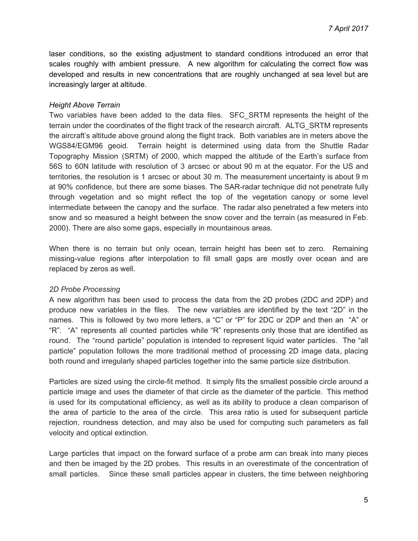laser conditions, so the existing adjustment to standard conditions introduced an error that scales roughly with ambient pressure. A new algorithm for calculating the correct flow was developed and results in new concentrations that are roughly unchanged at sea level but are increasingly larger at altitude.

#### *Height Above Terrain*

Two variables have been added to the data files. SFC\_SRTM represents the height of the terrain under the coordinates of the flight track of the research aircraft. ALTG\_SRTM represents the aircraft's altitude above ground along the flight track. Both variables are in meters above the WGS84/EGM96 geoid. Terrain height is determined using data from the Shuttle Radar Topography Mission (SRTM) of 2000, which mapped the altitude of the Earth's surface from 56S to 60N latitude with resolution of 3 arcsec or about 90 m at the equator. For the US and territories, the resolution is 1 arcsec or about 30 m. The measurement uncertainty is about 9 m at 90% confidence, but there are some biases. The SAR-radar technique did not penetrate fully through vegetation and so might reflect the top of the vegetation canopy or some level intermediate between the canopy and the surface. The radar also penetrated a few meters into snow and so measured a height between the snow cover and the terrain (as measured in Feb. 2000). There are also some gaps, especially in mountainous areas.

When there is no terrain but only ocean, terrain height has been set to zero. Remaining missing-value regions after interpolation to fill small gaps are mostly over ocean and are replaced by zeros as well.

#### *2D Probe Processing*

A new algorithm has been used to process the data from the 2D probes (2DC and 2DP) and produce new variables in the files. The new variables are identified by the text "2D" in the names. This is followed by two more letters, a "C" or "P" for 2DC or 2DP and then an "A" or "R". "A" represents all counted particles while "R" represents only those that are identified as round. The "round particle" population is intended to represent liquid water particles. The "all particle" population follows the more traditional method of processing 2D image data, placing both round and irregularly shaped particles together into the same particle size distribution.

Particles are sized using the circle-fit method. It simply fits the smallest possible circle around a particle image and uses the diameter of that circle as the diameter of the particle. This method is used for its computational efficiency, as well as its ability to produce a clean comparison of the area of particle to the area of the circle. This area ratio is used for subsequent particle rejection, roundness detection, and may also be used for computing such parameters as fall velocity and optical extinction.

Large particles that impact on the forward surface of a probe arm can break into many pieces and then be imaged by the 2D probes. This results in an overestimate of the concentration of small particles. Since these small particles appear in clusters, the time between neighboring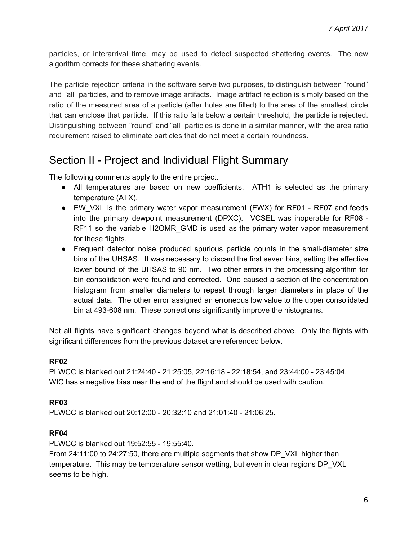particles, or interarrival time, may be used to detect suspected shattering events. The new algorithm corrects for these shattering events.

The particle rejection criteria in the software serve two purposes, to distinguish between "round" and "all" particles, and to remove image artifacts. Image artifact rejection is simply based on the ratio of the measured area of a particle (after holes are filled) to the area of the smallest circle that can enclose that particle. If this ratio falls below a certain threshold, the particle is rejected. Distinguishing between "round" and "all" particles is done in a similar manner, with the area ratio requirement raised to eliminate particles that do not meet a certain roundness.

# Section II - Project and Individual Flight Summary

The following comments apply to the entire project.

- All temperatures are based on new coefficients. ATH1 is selected as the primary temperature (ATX).
- EW VXL is the primary water vapor measurement (EWX) for RF01 RF07 and feeds into the primary dewpoint measurement (DPXC). VCSEL was inoperable for RF08 - RF11 so the variable H2OMR\_GMD is used as the primary water vapor measurement for these flights.
- Frequent detector noise produced spurious particle counts in the small-diameter size bins of the UHSAS. It was necessary to discard the first seven bins, setting the effective lower bound of the UHSAS to 90 nm. Two other errors in the processing algorithm for bin consolidation were found and corrected. One caused a section of the concentration histogram from smaller diameters to repeat through larger diameters in place of the actual data. The other error assigned an erroneous low value to the upper consolidated bin at 493-608 nm. These corrections significantly improve the histograms.

Not all flights have significant changes beyond what is described above. Only the flights with significant differences from the previous dataset are referenced below.

# **RF02**

PLWCC is blanked out 21:24:40 - 21:25:05, 22:16:18 - 22:18:54, and 23:44:00 - 23:45:04. WIC has a negative bias near the end of the flight and should be used with caution.

# **RF03**

PLWCC is blanked out 20:12:00 - 20:32:10 and 21:01:40 - 21:06:25.

# **RF04**

PLWCC is blanked out 19:52:55 - 19:55:40.

From 24:11:00 to 24:27:50, there are multiple segments that show DP\_VXL higher than temperature. This may be temperature sensor wetting, but even in clear regions DP\_VXL seems to be high.